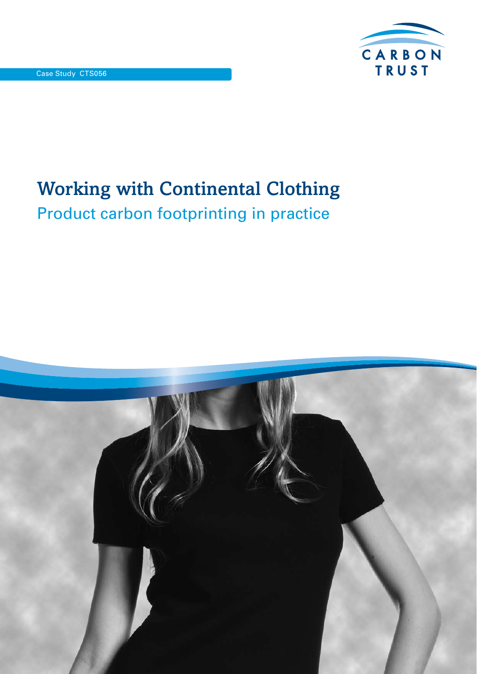

# Working with Continental Clothing Product carbon footprinting in practice

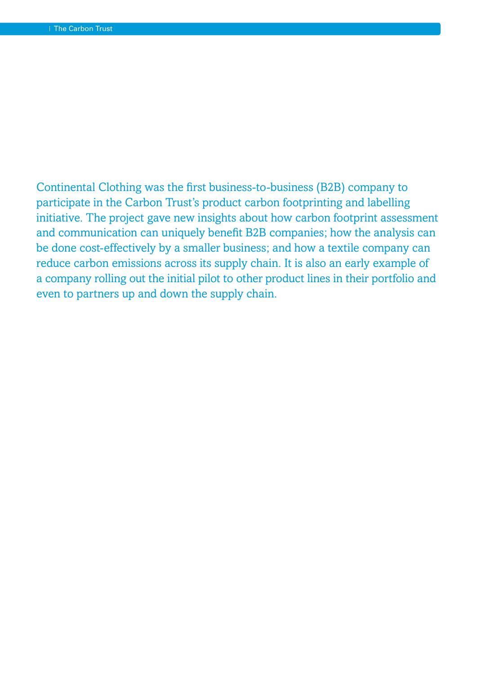Continental Clothing was the first business-to-business (B2B) company to participate in the Carbon Trust's product carbon footprinting and labelling initiative. The project gave new insights about how carbon footprint assessment and communication can uniquely benefit B2B companies; how the analysis can be done cost-effectively by a smaller business; and how a textile company can reduce carbon emissions across its supply chain. It is also an early example of a company rolling out the initial pilot to other product lines in their portfolio and even to partners up and down the supply chain.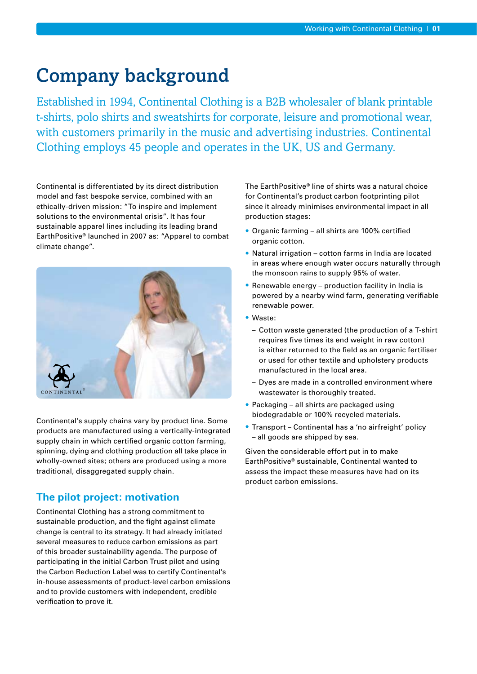## Company background

Established in 1994, Continental Clothing is a B2B wholesaler of blank printable t-shirts, polo shirts and sweatshirts for corporate, leisure and promotional wear, with customers primarily in the music and advertising industries. Continental Clothing employs 45 people and operates in the UK, US and Germany.

Continental is differentiated by its direct distribution model and fast bespoke service, combined with an ethically-driven mission: "To inspire and implement solutions to the environmental crisis". It has four sustainable apparel lines including its leading brand EarthPositive® launched in 2007 as: "Apparel to combat climate change".



Continental's supply chains vary by product line. Some products are manufactured using a vertically-integrated supply chain in which certified organic cotton farming, spinning, dying and clothing production all take place in wholly-owned sites; others are produced using a more traditional, disaggregated supply chain.

### **The pilot project: motivation**

Continental Clothing has a strong commitment to sustainable production, and the fight against climate change is central to its strategy. It had already initiated several measures to reduce carbon emissions as part of this broader sustainability agenda. The purpose of participating in the initial Carbon Trust pilot and using the Carbon Reduction Label was to certify Continental's in-house assessments of product-level carbon emissions and to provide customers with independent, credible verification to prove it.

The EarthPositive® line of shirts was a natural choice for Continental's product carbon footprinting pilot since it already minimises environmental impact in all production stages:

- Organic farming all shirts are 100% certified organic cotton.
- Natural irrigation cotton farms in India are located in areas where enough water occurs naturally through the monsoon rains to supply 95% of water.
- Renewable energy production facility in India is powered by a nearby wind farm, generating verifiable renewable power.
- Waste:
	- Cotton waste generated (the production of a T-shirt requires five times its end weight in raw cotton) is either returned to the field as an organic fertiliser or used for other textile and upholstery products manufactured in the local area.
	- Dyes are made in a controlled environment where wastewater is thoroughly treated.
- Packaging all shirts are packaged using biodegradable or 100% recycled materials.
- Transport Continental has a 'no airfreight' policy – all goods are shipped by sea.

Given the considerable effort put in to make EarthPositive® sustainable, Continental wanted to assess the impact these measures have had on its product carbon emissions.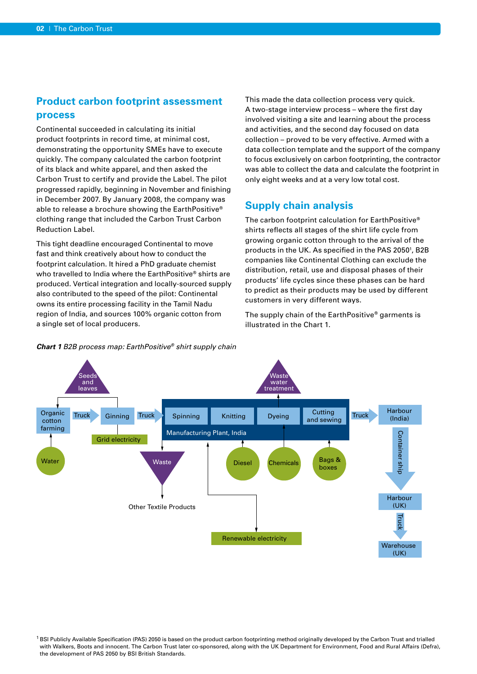#### **Product carbon footprint assessment process**

Continental succeeded in calculating its initial product footprints in record time, at minimal cost, demonstrating the opportunity SMEs have to execute quickly. The company calculated the carbon footprint of its black and white apparel, and then asked the Carbon Trust to certify and provide the Label. The pilot progressed rapidly, beginning in November and finishing in December 2007. By January 2008, the company was able to release a brochure showing the EarthPositive® clothing range that included the Carbon Trust Carbon Reduction Label.

This tight deadline encouraged Continental to move fast and think creatively about how to conduct the footprint calculation. It hired a PhD graduate chemist who travelled to India where the EarthPositive® shirts are produced. Vertical integration and locally-sourced supply also contributed to the speed of the pilot: Continental owns its entire processing facility in the Tamil Nadu region of India, and sources 100% organic cotton from a single set of local producers.

This made the data collection process very quick. A two-stage interview process – where the first day involved visiting a site and learning about the process and activities, and the second day focused on data collection – proved to be very effective. Armed with a data collection template and the support of the company to focus exclusively on carbon footprinting, the contractor was able to collect the data and calculate the footprint in only eight weeks and at a very low total cost.

#### **Supply chain analysis**

The carbon footprint calculation for EarthPositive® shirts reflects all stages of the shirt life cycle from growing organic cotton through to the arrival of the products in the UK. As specified in the PAS 2050<sup>1</sup>, B2B companies like Continental Clothing can exclude the distribution, retail, use and disposal phases of their products' life cycles since these phases can be hard to predict as their products may be used by different customers in very different ways.

The supply chain of the EarthPositive® garments is illustrated in the Chart 1.



#### *Chart 1 B2B process map: EarthPositive® shirt supply chain*

<sup>1</sup> BSI Publicly Available Specification (PAS) 2050 is based on the product carbon footprinting method originally developed by the Carbon Trust and trialled with Walkers, Boots and innocent. The Carbon Trust later co-sponsored, along with the UK Department for Environment, Food and Rural Affairs (Defra), the development of PAS 2050 by BSI British Standards.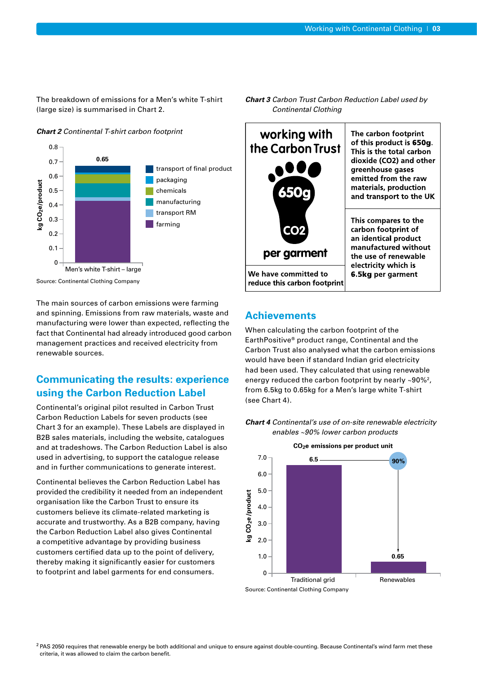The breakdown of emissions for a Men's white T-shirt (large size) is summarised in Chart 2.





Source: Continental Clothing Company

The main sources of carbon emissions were farming and spinning. Emissions from raw materials, waste and manufacturing were lower than expected, reflecting the fact that Continental had already introduced good carbon management practices and received electricity from renewable sources.

#### **Communicating the results: experience using the Carbon Reduction Label**

Continental's original pilot resulted in Carbon Trust Carbon Reduction Labels for seven products (see Chart 3 for an example). These Labels are displayed in B2B sales materials, including the website, catalogues and at tradeshows. The Carbon Reduction Label is also used in advertising, to support the catalogue release and in further communications to generate interest.

Continental believes the Carbon Reduction Label has provided the credibility it needed from an independent organisation like the Carbon Trust to ensure its customers believe its climate-related marketing is accurate and trustworthy. As a B2B company, having the Carbon Reduction Label also gives Continental a competitive advantage by providing business customers certified data up to the point of delivery, thereby making it significantly easier for customers to footprint and label garments for end consumers.

*Chart 3 Carbon Trust Carbon Reduction Label used by Continental Clothing*



#### **Achievements**

When calculating the carbon footprint of the EarthPositive® product range, Continental and the Carbon Trust also analysed what the carbon emissions would have been if standard Indian grid electricity had been used. They calculated that using renewable energy reduced the carbon footprint by nearly ~90%<sup>2</sup>, from 6.5kg to 0.65kg for a Men's large white T-shirt (see Chart 4).





Source: Continental Clothing Company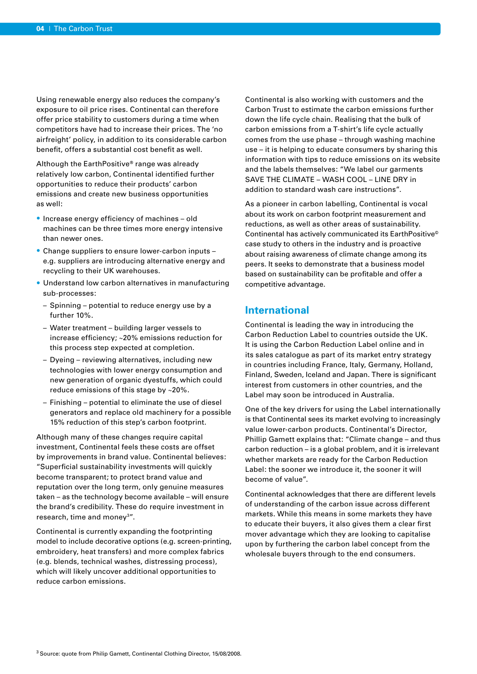Using renewable energy also reduces the company's exposure to oil price rises. Continental can therefore offer price stability to customers during a time when competitors have had to increase their prices. The 'no airfreight' policy, in addition to its considerable carbon benefit, offers a substantial cost benefit as well.

Although the EarthPositive® range was already relatively low carbon, Continental identified further opportunities to reduce their products' carbon emissions and create new business opportunities as well:

- Increase energy efficiency of machines old machines can be three times more energy intensive than newer ones.
- Change suppliers to ensure lower-carbon inputs e.g. suppliers are introducing alternative energy and recycling to their UK warehouses.
- Understand low carbon alternatives in manufacturing sub-processes:
	- Spinning potential to reduce energy use by a further 10%.
	- Water treatment building larger vessels to increase efficiency; ~20% emissions reduction for this process step expected at completion.
	- Dyeing reviewing alternatives, including new technologies with lower energy consumption and new generation of organic dyestuffs, which could reduce emissions of this stage by ~20%.
	- Finishing potential to eliminate the use of diesel generators and replace old machinery for a possible 15% reduction of this step's carbon footprint.

Although many of these changes require capital investment, Continental feels these costs are offset by improvements in brand value. Continental believes: "Superficial sustainability investments will quickly become transparent; to protect brand value and reputation over the long term, only genuine measures taken – as the technology become available – will ensure the brand's credibility. These do require investment in research, time and money<sup>3"</sup>.

Continental is currently expanding the footprinting model to include decorative options (e.g. screen-printing, embroidery, heat transfers) and more complex fabrics (e.g. blends, technical washes, distressing process), which will likely uncover additional opportunities to reduce carbon emissions.

Continental is also working with customers and the Carbon Trust to estimate the carbon emissions further down the life cycle chain. Realising that the bulk of carbon emissions from a T-shirt's life cycle actually comes from the use phase – through washing machine use – it is helping to educate consumers by sharing this information with tips to reduce emissions on its website and the labels themselves: "We label our garments SAVE THE CLIMATE – WASH COOL – LINE DRY in addition to standard wash care instructions".

As a pioneer in carbon labelling, Continental is vocal about its work on carbon footprint measurement and reductions, as well as other areas of sustainability. Continental has actively communicated its EarthPositive© case study to others in the industry and is proactive about raising awareness of climate change among its peers. It seeks to demonstrate that a business model based on sustainability can be profitable and offer a competitive advantage.

#### **International**

Continental is leading the way in introducing the Carbon Reduction Label to countries outside the UK. It is using the Carbon Reduction Label online and in its sales catalogue as part of its market entry strategy in countries including France, Italy, Germany, Holland, Finland, Sweden, Iceland and Japan. There is significant interest from customers in other countries, and the Label may soon be introduced in Australia.

One of the key drivers for using the Label internationally is that Continental sees its market evolving to increasingly value lower-carbon products. Continental's Director, Phillip Gamett explains that: "Climate change – and thus carbon reduction – is a global problem, and it is irrelevant whether markets are ready for the Carbon Reduction Label: the sooner we introduce it, the sooner it will become of value".

Continental acknowledges that there are different levels of understanding of the carbon issue across different markets. While this means in some markets they have to educate their buyers, it also gives them a clear first mover advantage which they are looking to capitalise upon by furthering the carbon label concept from the wholesale buyers through to the end consumers.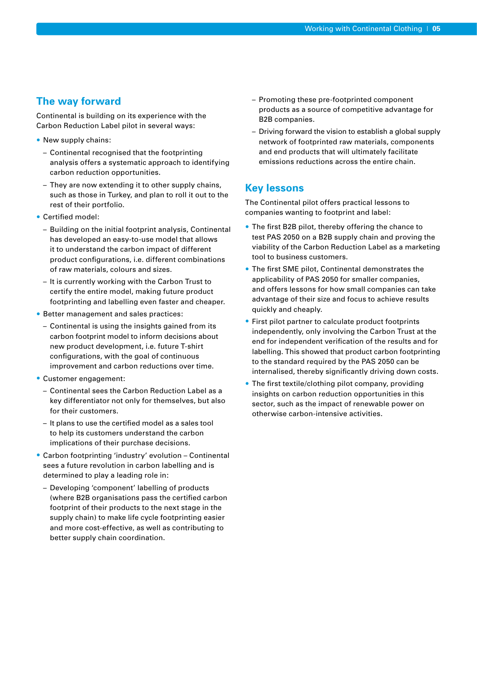#### **The way forward**

Continental is building on its experience with the Carbon Reduction Label pilot in several ways:

- New supply chains:
	- Continental recognised that the footprinting analysis offers a systematic approach to identifying carbon reduction opportunities.
	- They are now extending it to other supply chains, such as those in Turkey, and plan to roll it out to the rest of their portfolio.
- Certified model:
	- Building on the initial footprint analysis, Continental has developed an easy-to-use model that allows it to understand the carbon impact of different product configurations, i.e. different combinations of raw materials, colours and sizes.
	- It is currently working with the Carbon Trust to certify the entire model, making future product footprinting and labelling even faster and cheaper.
- Better management and sales practices:
	- Continental is using the insights gained from its carbon footprint model to inform decisions about new product development, i.e. future T-shirt configurations, with the goal of continuous improvement and carbon reductions over time.
- Customer engagement:
	- Continental sees the Carbon Reduction Label as a key differentiator not only for themselves, but also for their customers.
	- It plans to use the certified model as a sales tool to help its customers understand the carbon implications of their purchase decisions.
- Carbon footprinting 'industry' evolution Continental sees a future revolution in carbon labelling and is determined to play a leading role in:
	- Developing 'component' labelling of products (where B2B organisations pass the certified carbon footprint of their products to the next stage in the supply chain) to make life cycle footprinting easier and more cost-effective, as well as contributing to better supply chain coordination.
- Promoting these pre-footprinted component products as a source of competitive advantage for B2B companies.
- Driving forward the vision to establish a global supply network of footprinted raw materials, components and end products that will ultimately facilitate emissions reductions across the entire chain.

#### **Key lessons**

The Continental pilot offers practical lessons to companies wanting to footprint and label:

- The first B2B pilot, thereby offering the chance to test PAS 2050 on a B2B supply chain and proving the viability of the Carbon Reduction Label as a marketing tool to business customers.
- The first SME pilot, Continental demonstrates the applicability of PAS 2050 for smaller companies, and offers lessons for how small companies can take advantage of their size and focus to achieve results quickly and cheaply.
- First pilot partner to calculate product footprints independently, only involving the Carbon Trust at the end for independent verification of the results and for labelling. This showed that product carbon footprinting to the standard required by the PAS 2050 can be internalised, thereby significantly driving down costs.
- The first textile/clothing pilot company, providing insights on carbon reduction opportunities in this sector, such as the impact of renewable power on otherwise carbon-intensive activities.